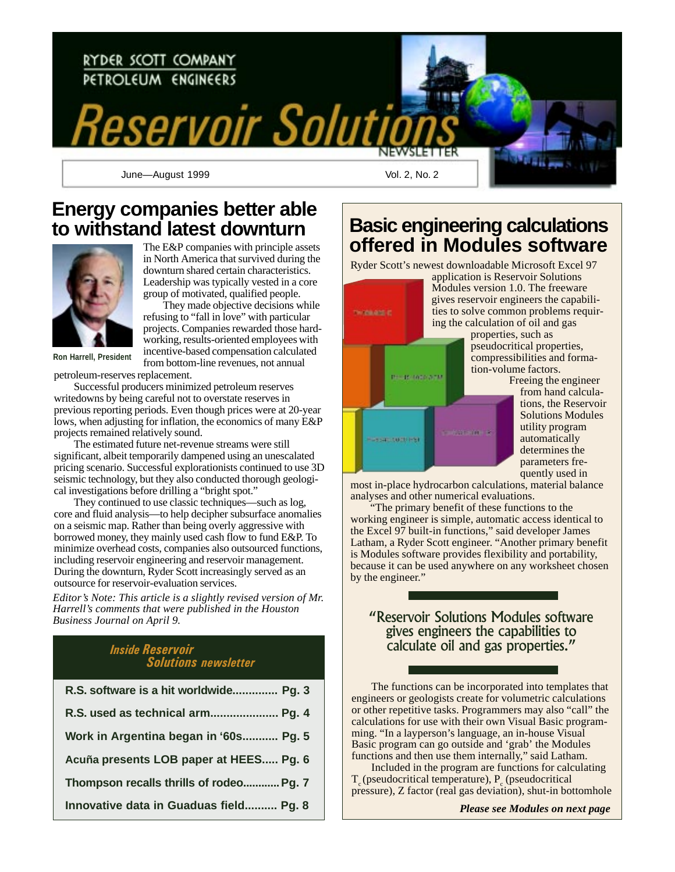

### **Energy companies better able to withstand latest downturn**



The E&P companies with principle assets in North America that survived during the downturn shared certain characteristics. Leadership was typically vested in a core group of motivated, qualified people.

They made objective decisions while refusing to "fall in love" with particular projects. Companies rewarded those hardworking, results-oriented employees with incentive-based compensation calculated from bottom-line revenues, not annual

**Ron Harrell, President**

petroleum-reserves replacement.

Successful producers minimized petroleum reserves writedowns by being careful not to overstate reserves in previous reporting periods. Even though prices were at 20-year lows, when adjusting for inflation, the economics of many E&P projects remained relatively sound.

The estimated future net-revenue streams were still significant, albeit temporarily dampened using an unescalated pricing scenario. Successful explorationists continued to use 3D seismic technology, but they also conducted thorough geological investigations before drilling a "bright spot."

They continued to use classic techniques—such as log, core and fluid analysis—to help decipher subsurface anomalies on a seismic map. Rather than being overly aggressive with borrowed money, they mainly used cash flow to fund E&P. To minimize overhead costs, companies also outsourced functions, including reservoir engineering and reservoir management. During the downturn, Ryder Scott increasingly served as an outsource for reservoir-evaluation services.

*Editor's Note: This article is a slightly revised version of Mr. Harrell's comments that were published in the Houston Business Journal on April 9.*

### Inside Reservoir Solutions newsletter

| R.S. software is a hit worldwide Pg. 3  |
|-----------------------------------------|
| R.S. used as technical arm Pg. 4        |
| Work in Argentina began in '60s Pg. 5   |
| Acuña presents LOB paper at HEES Pg. 6  |
| Thompson recalls thrills of rodeo Pg. 7 |
| Innovative data in Guaduas field Pg. 8  |

### **Basic engineering calculations offered in Modules software**

Ryder Scott's newest downloadable Microsoft Excel 97

application is Reservoir Solutions Modules version 1.0. The freeware gives reservoir engineers the capabilities to solve common problems requiring the calculation of oil and gas properties, such as

pseudocritical properties, compressibilities and formation-volume factors. **RESIDENCE ANM CONTRACTOR Design code (es)** 

**THOMAS ARE IT** 

Freeing the engineer from hand calculations, the Reservoir Solutions Modules utility program automatically determines the parameters frequently used in

most in-place hydrocarbon calculations, material balance analyses and other numerical evaluations.

"The primary benefit of these functions to the working engineer is simple, automatic access identical to the Excel 97 built-in functions," said developer James Latham, a Ryder Scott engineer. "Another primary benefit is Modules software provides flexibility and portability, because it can be used anywhere on any worksheet chosen by the engineer."

Reservoir Solutions Modules software gives engineers the capabilities to calculate oil and gas properties.

The functions can be incorporated into templates that engineers or geologists create for volumetric calculations or other repetitive tasks. Programmers may also "call" the calculations for use with their own Visual Basic programming. "In a layperson's language, an in-house Visual Basic program can go outside and 'grab' the Modules functions and then use them internally," said Latham.

Included in the program are functions for calculating  $T_c$  (pseudocritical temperature),  $P_c$  (pseudocritical pressure), Z factor (real gas deviation), shut-in bottomhole

*Please see Modules on next page*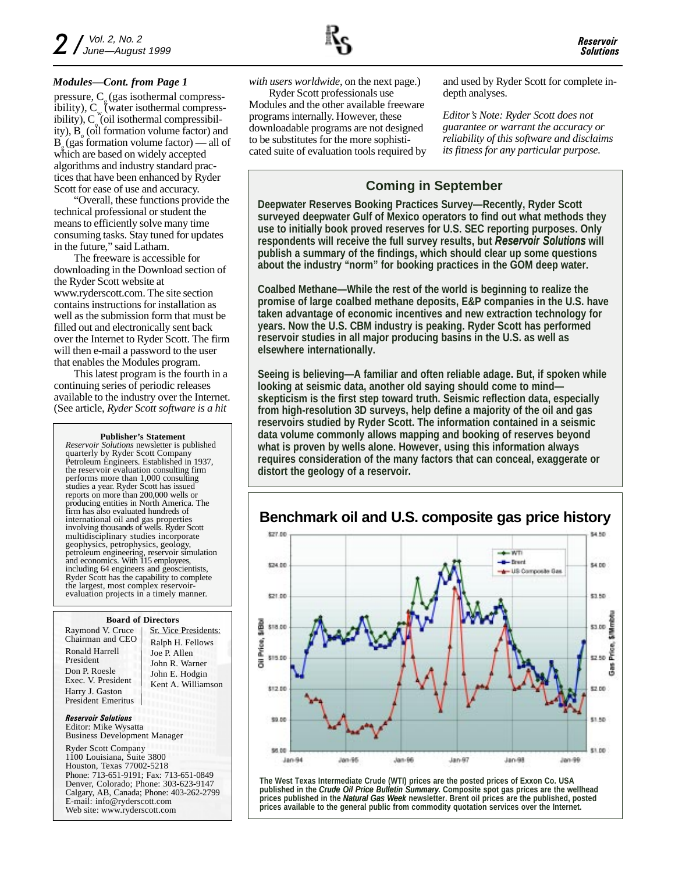pressure,  $C<sub>s</sub>$  (gas isothermal compressibility),  $C_{w}$  (water isothermal compressibility),  $C_{\circ}$  (oil isothermal compressibility),  $B_0$  (oil formation volume factor) and  $B_{g}$  (gas formation volume factor) — all of which are based on widely accepted algorithms and industry standard practices that have been enhanced by Ryder Scott for ease of use and accuracy.

"Overall, these functions provide the technical professional or student the means to efficiently solve many time consuming tasks. Stay tuned for updates in the future," said Latham.

The freeware is accessible for downloading in the Download section of the Ryder Scott website at www.ryderscott.com. The site section contains instructions for installation as well as the submission form that must be filled out and electronically sent back over the Internet to Ryder Scott. The firm will then e-mail a password to the user that enables the Modules program.

This latest program is the fourth in a continuing series of periodic releases available to the industry over the Internet. (See article, *Ryder Scott software is a hit*

#### **Publisher's Statement**

*Reservoir Solutions* newsletter is published quarterly by Ryder Scott Company Petroleum Engineers. Established in 1937, the reservoir evaluation consulting firm performs more than 1,000 consulting studies a year. Ryder Scott has issued reports on more than 200,000 wells or producing entities in North America. The firm has also evaluated hundreds of international oil and gas properties involving thousands of wells. Ryder Scott multidisciplinary studies incorporate geophysics, petrophysics, geology, petroleum engineering, reservoir simulation and economics. With 115 employees, including 64 engineers and geoscientists, Ryder Scott has the capability to complete the largest, most complex reservoirevaluation projects in a timely manner.

#### **Board of Directors**

| Raymond V. Cruce          | Sı |
|---------------------------|----|
| Chairman and CEO          | R  |
| <b>Ronald Harrell</b>     | Jc |
| President                 | Jc |
| Don P. Roesle             | Jc |
| Exec. V. President        | K  |
| Harry J. Gaston           |    |
| <b>President Emeritus</b> |    |

: Vice Presidents: alph H. Fellows e P. Allen John R. Warner John E. Hodgin ent A. Williamson

Reservoir Solutions Editor: Mike Wysatta Business Development Manager

Ryder Scott Company 1100 Louisiana, Suite 3800 Houston, Texas 77002-5218 Phone: 713-651-9191; Fax: 713-651-0849 Denver, Colorado; Phone: 303-623-9147 Calgary, AB, Canada; Phone: 403-262-2799 E-mail: info@ryderscott.com Web site: www.ryderscott.com

*Modules—Cont. from Page 1 with users worldwide*, on the next page.)

Ryder Scott professionals use Modules and the other available freeware programs internally. However, these downloadable programs are not designed to be substitutes for the more sophisticated suite of evaluation tools required by and used by Ryder Scott for complete indepth analyses.

*Editor's Note: Ryder Scott does not guarantee or warrant the accuracy or reliability of this software and disclaims its fitness for any particular purpose.*

### **Coming in September**

**Deepwater Reserves Booking Practices Survey—Recently, Ryder Scott surveyed deepwater Gulf of Mexico operators to find out what methods they use to initially book proved reserves for U.S. SEC reporting purposes. Only respondents will receive the full survey results, but** *Reservoir Solutions* **will publish a summary of the findings, which should clear up some questions about the industry "norm" for booking practices in the GOM deep water.**

**Coalbed Methane—While the rest of the world is beginning to realize the promise of large coalbed methane deposits, E&P companies in the U.S. have taken advantage of economic incentives and new extraction technology for years. Now the U.S. CBM industry is peaking. Ryder Scott has performed reservoir studies in all major producing basins in the U.S. as well as elsewhere internationally.**

**Seeing is believing—A familiar and often reliable adage. But, if spoken while looking at seismic data, another old saying should come to mind skepticism is the first step toward truth. Seismic reflection data, especially from high-resolution 3D surveys, help define a majority of the oil and gas reservoirs studied by Ryder Scott. The information contained in a seismic data volume commonly allows mapping and booking of reserves beyond what is proven by wells alone. However, using this information always requires consideration of the many factors that can conceal, exaggerate or distort the geology of a reservoir.**

#### \$27.00 \$4.50  $-WD$ - Brent ۰ \$24.00 \$4.00 - US Composite Gas \$21.00 \$3.50 30 Price, S/Bb \$18.00 \$3.00 Price, \$15.00 \$2.50 å \$12.00  $200$ \$9.00 \$1.50 \$1.00 \$6.00 Jan-94 Jan-95 Jan-96  $Jan-97$ Jan 98 Jan-99

**The West Texas Intermediate Crude (WTI) prices are the posted prices of Exxon Co. USA published in the** *Crude Oil Price Bulletin Summary***. Composite spot gas prices are the wellhead prices published in the** *Natural Gas Week* **newsletter. Brent oil prices are the published, posted prices available to the general public from commodity quotation services over the Internet.**

### **Benchmark oil and U.S. composite gas price history**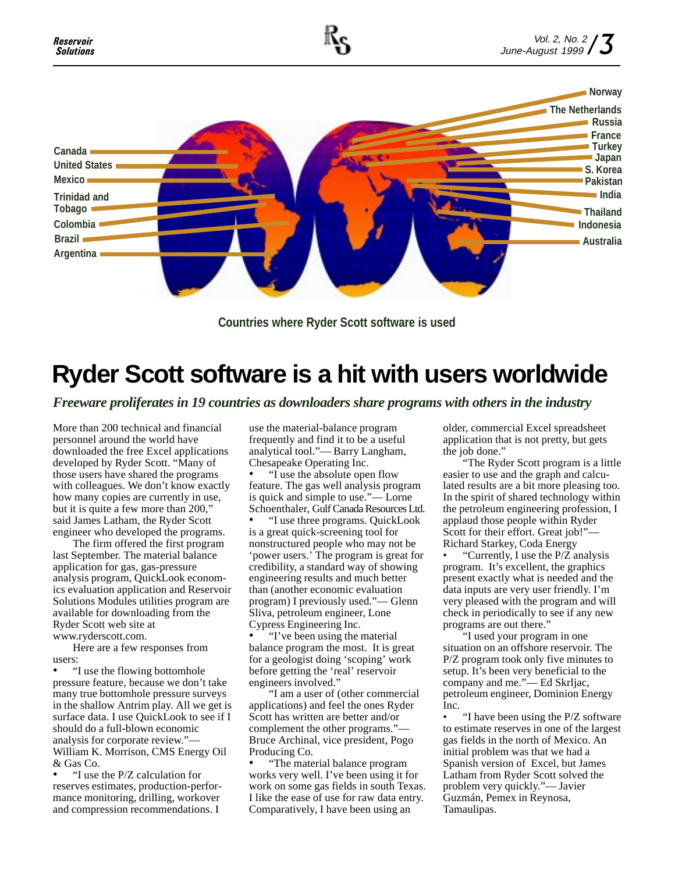

**Countries where Ryder Scott software is used**

## **Ryder Scott software is a hit with users worldwide**

*Freeware proliferates in 19 countries as downloaders share programs with others in the industry*

More than 200 technical and financial personnel around the world have downloaded the free Excel applications developed by Ryder Scott. "Many of those users have shared the programs with colleagues. We don't know exactly how many copies are currently in use, but it is quite a few more than 200," said James Latham, the Ryder Scott engineer who developed the programs.

The firm offered the first program last September. The material balance application for gas, gas-pressure analysis program, QuickLook economics evaluation application and Reservoir Solutions Modules utilities program are available for downloading from the Ryder Scott web site at www.ryderscott.com.

Here are a few responses from users:

• "I use the flowing bottomhole" pressure feature, because we don't take many true bottomhole pressure surveys in the shallow Antrim play. All we get is surface data. I use QuickLook to see if I should do a full-blown economic analysis for corporate review."— William K. Morrison, CMS Energy Oil & Gas Co.

• "I use the P/Z calculation for reserves estimates, production-performance monitoring, drilling, workover and compression recommendations. I

use the material-balance program frequently and find it to be a useful analytical tool."— Barry Langham, Chesapeake Operating Inc.

• "I use the absolute open flow feature. The gas well analysis program is quick and simple to use."— Lorne Schoenthaler, Gulf Canada Resources Ltd.

• "I use three programs. QuickLook is a great quick-screening tool for nonstructured people who may not be 'power users.' The program is great for credibility, a standard way of showing engineering results and much better than (another economic evaluation program) I previously used."— Glenn Sliva, petroleum engineer, Lone Cypress Engineering Inc.

• "I've been using the material balance program the most. It is great for a geologist doing 'scoping' work before getting the 'real' reservoir engineers involved."

"I am a user of (other commercial applications) and feel the ones Ryder Scott has written are better and/or complement the other programs."— Bruce Archinal, vice president, Pogo Producing Co.

• "The material balance program works very well. I've been using it for work on some gas fields in south Texas. I like the ease of use for raw data entry. Comparatively, I have been using an

older, commercial Excel spreadsheet application that is not pretty, but gets the job done."

"The Ryder Scott program is a little easier to use and the graph and calculated results are a bit more pleasing too. In the spirit of shared technology within the petroleum engineering profession, I applaud those people within Ryder Scott for their effort. Great job!"— Richard Starkey, Coda Energy

• "Currently, I use the P/Z analysis program. It's excellent, the graphics present exactly what is needed and the data inputs are very user friendly. I'm very pleased with the program and will check in periodically to see if any new programs are out there."

"I used your program in one situation on an offshore reservoir. The P/Z program took only five minutes to setup. It's been very beneficial to the company and me."— Ed Skrljac, petroleum engineer, Dominion Energy Inc.

• "I have been using the P/Z software to estimate reserves in one of the largest gas fields in the north of Mexico. An initial problem was that we had a Spanish version of Excel, but James Latham from Ryder Scott solved the problem very quickly."— Javier Guzmán, Pemex in Reynosa, Tamaulipas.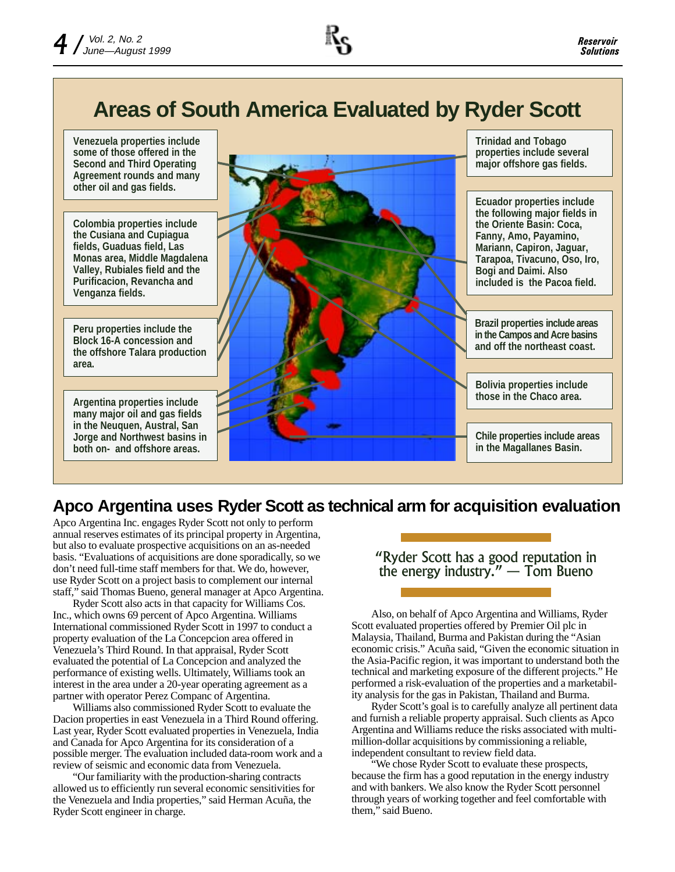## **Areas of South America Evaluated by Ryder Scott**



### **Apco Argentina uses Ryder Scott as technical arm for acquisition evaluation**

Apco Argentina Inc. engages Ryder Scott not only to perform annual reserves estimates of its principal property in Argentina, but also to evaluate prospective acquisitions on an as-needed basis. "Evaluations of acquisitions are done sporadically, so we don't need full-time staff members for that. We do, however, use Ryder Scott on a project basis to complement our internal staff," said Thomas Bueno, general manager at Apco Argentina.

Ryder Scott also acts in that capacity for Williams Cos. Inc., which owns 69 percent of Apco Argentina. Williams International commissioned Ryder Scott in 1997 to conduct a property evaluation of the La Concepcion area offered in Venezuela's Third Round. In that appraisal, Ryder Scott evaluated the potential of La Concepcion and analyzed the performance of existing wells. Ultimately, Williams took an interest in the area under a 20-year operating agreement as a partner with operator Perez Companc of Argentina.

Williams also commissioned Ryder Scott to evaluate the Dacion properties in east Venezuela in a Third Round offering. Last year, Ryder Scott evaluated properties in Venezuela, India and Canada for Apco Argentina for its consideration of a possible merger. The evaluation included data-room work and a review of seismic and economic data from Venezuela.

"Our familiarity with the production-sharing contracts allowed us to efficiently run several economic sensitivities for the Venezuela and India properties," said Herman Acuña, the Ryder Scott engineer in charge.

Ryder Scott has a good reputation in the energy industry. $"$  — Tom Bueno

Also, on behalf of Apco Argentina and Williams, Ryder Scott evaluated properties offered by Premier Oil plc in Malaysia, Thailand, Burma and Pakistan during the "Asian economic crisis." Acuña said, "Given the economic situation in the Asia-Pacific region, it was important to understand both the technical and marketing exposure of the different projects." He performed a risk-evaluation of the properties and a marketability analysis for the gas in Pakistan, Thailand and Burma.

Ryder Scott's goal is to carefully analyze all pertinent data and furnish a reliable property appraisal. Such clients as Apco Argentina and Williams reduce the risks associated with multimillion-dollar acquisitions by commissioning a reliable, independent consultant to review field data.

"We chose Ryder Scott to evaluate these prospects, because the firm has a good reputation in the energy industry and with bankers. We also know the Ryder Scott personnel through years of working together and feel comfortable with them," said Bueno.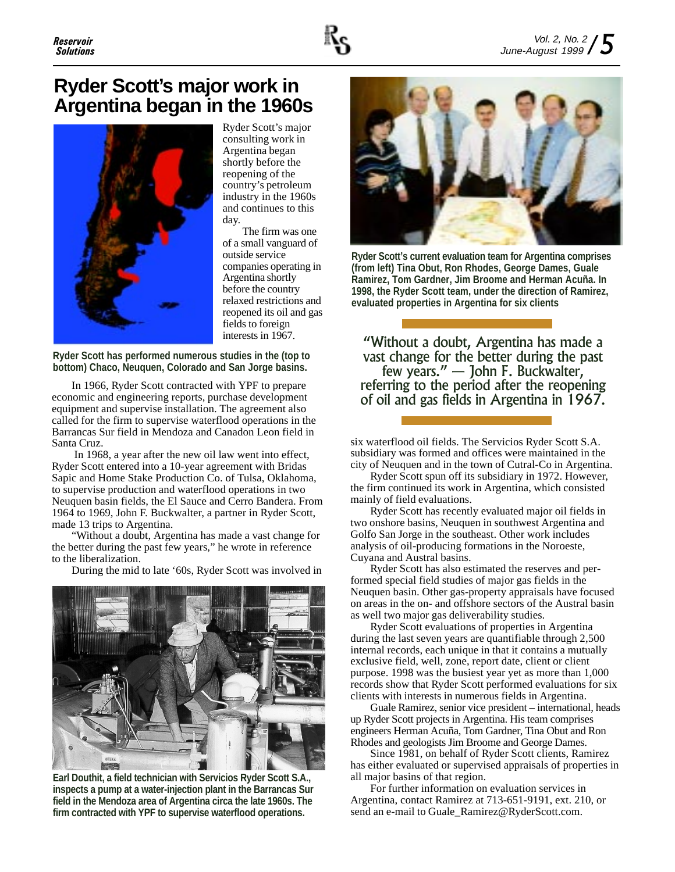

### **Ryder Scott's major work in Argentina began in the 1960s**



Ryder Scott's major consulting work in Argentina began shortly before the reopening of the country's petroleum industry in the 1960s and continues to this day.

The firm was one of a small vanguard of outside service companies operating in Argentina shortly before the country relaxed restrictions and reopened its oil and gas fields to foreign interests in 1967.

**Ryder Scott has performed numerous studies in the (top to bottom) Chaco, Neuquen, Colorado and San Jorge basins.**

In 1966, Ryder Scott contracted with YPF to prepare economic and engineering reports, purchase development equipment and supervise installation. The agreement also called for the firm to supervise waterflood operations in the Barrancas Sur field in Mendoza and Canadon Leon field in Santa Cruz.

 In 1968, a year after the new oil law went into effect, Ryder Scott entered into a 10-year agreement with Bridas Sapic and Home Stake Production Co. of Tulsa, Oklahoma, to supervise production and waterflood operations in two Neuquen basin fields, the El Sauce and Cerro Bandera. From 1964 to 1969, John F. Buckwalter, a partner in Ryder Scott, made 13 trips to Argentina.

"Without a doubt, Argentina has made a vast change for the better during the past few years," he wrote in reference to the liberalization.

During the mid to late '60s, Ryder Scott was involved in



**Earl Douthit, a field technician with Servicios Ryder Scott S.A., inspects a pump at a water-injection plant in the Barrancas Sur field in the Mendoza area of Argentina circa the late 1960s. The firm contracted with YPF to supervise waterflood operations.**



**Ryder Scott's current evaluation team for Argentina comprises (from left) Tina Obut, Ron Rhodes, George Dames, Guale Ramirez, Tom Gardner, Jim Broome and Herman Acuña. In 1998, the Ryder Scott team, under the direction of Ramirez, evaluated properties in Argentina for six clients**

Without a doubt, Argentina has made a vast change for the better during the past few years." - John F. Buckwalter, referring to the period after the reopening of oil and gas fields in Argentina in 1967.

six waterflood oil fields. The Servicios Ryder Scott S.A. subsidiary was formed and offices were maintained in the city of Neuquen and in the town of Cutral-Co in Argentina.

Ryder Scott spun off its subsidiary in 1972. However, the firm continued its work in Argentina, which consisted mainly of field evaluations.

Ryder Scott has recently evaluated major oil fields in two onshore basins, Neuquen in southwest Argentina and Golfo San Jorge in the southeast. Other work includes analysis of oil-producing formations in the Noroeste, Cuyana and Austral basins.

Ryder Scott has also estimated the reserves and performed special field studies of major gas fields in the Neuquen basin. Other gas-property appraisals have focused on areas in the on- and offshore sectors of the Austral basin as well two major gas deliverability studies.

Ryder Scott evaluations of properties in Argentina during the last seven years are quantifiable through 2,500 internal records, each unique in that it contains a mutually exclusive field, well, zone, report date, client or client purpose. 1998 was the busiest year yet as more than 1,000 records show that Ryder Scott performed evaluations for six clients with interests in numerous fields in Argentina.

Guale Ramirez, senior vice president – international, heads up Ryder Scott projects in Argentina. His team comprises engineers Herman Acuña, Tom Gardner, Tina Obut and Ron Rhodes and geologists Jim Broome and George Dames.

Since 1981, on behalf of Ryder Scott clients, Ramirez has either evaluated or supervised appraisals of properties in all major basins of that region.

For further information on evaluation services in Argentina, contact Ramirez at 713-651-9191, ext. 210, or send an e-mail to Guale\_Ramirez@RyderScott.com.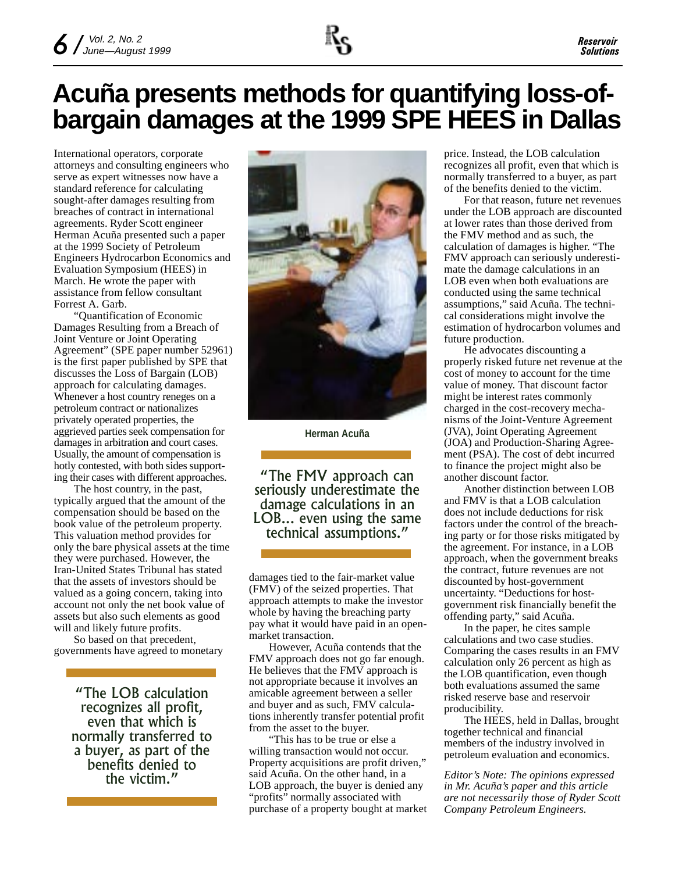

## **Acuña presents methods for quantifying loss-ofbargain damages at the 1999 SPE HEES in Dallas**

International operators, corporate attorneys and consulting engineers who serve as expert witnesses now have a standard reference for calculating sought-after damages resulting from breaches of contract in international agreements. Ryder Scott engineer Herman Acuña presented such a paper at the 1999 Society of Petroleum Engineers Hydrocarbon Economics and Evaluation Symposium (HEES) in March. He wrote the paper with assistance from fellow consultant Forrest A. Garb.

"Quantification of Economic Damages Resulting from a Breach of Joint Venture or Joint Operating Agreement" (SPE paper number 52961) is the first paper published by SPE that discusses the Loss of Bargain (LOB) approach for calculating damages. Whenever a host country reneges on a petroleum contract or nationalizes privately operated properties, the aggrieved parties seek compensation for damages in arbitration and court cases. Usually, the amount of compensation is hotly contested, with both sides supporting their cases with different approaches.

The host country, in the past, typically argued that the amount of the compensation should be based on the book value of the petroleum property. This valuation method provides for only the bare physical assets at the time they were purchased. However, the Iran-United States Tribunal has stated that the assets of investors should be valued as a going concern, taking into account not only the net book value of assets but also such elements as good will and likely future profits.

So based on that precedent, governments have agreed to monetary

The LOB calculation recognizes all profit, even that which is normally transferred to a buyer, as part of the benefits denied to the victim.



**Herman Acuña**

"The FMV approach can seriously underestimate the damage calculations in an LOB... even using the same technical assumptions.

damages tied to the fair-market value (FMV) of the seized properties. That approach attempts to make the investor whole by having the breaching party pay what it would have paid in an openmarket transaction.

However, Acuña contends that the FMV approach does not go far enough. He believes that the FMV approach is not appropriate because it involves an amicable agreement between a seller and buyer and as such, FMV calculations inherently transfer potential profit from the asset to the buyer.

"This has to be true or else a willing transaction would not occur. Property acquisitions are profit driven," said Acuña. On the other hand, in a LOB approach, the buyer is denied any "profits" normally associated with purchase of a property bought at market price. Instead, the LOB calculation recognizes all profit, even that which is normally transferred to a buyer, as part of the benefits denied to the victim.

For that reason, future net revenues under the LOB approach are discounted at lower rates than those derived from the FMV method and as such, the calculation of damages is higher. "The FMV approach can seriously underestimate the damage calculations in an LOB even when both evaluations are conducted using the same technical assumptions," said Acuña. The technical considerations might involve the estimation of hydrocarbon volumes and future production.

He advocates discounting a properly risked future net revenue at the cost of money to account for the time value of money. That discount factor might be interest rates commonly charged in the cost-recovery mechanisms of the Joint-Venture Agreement (JVA), Joint Operating Agreement (JOA) and Production-Sharing Agreement (PSA). The cost of debt incurred to finance the project might also be another discount factor.

Another distinction between LOB and FMV is that a LOB calculation does not include deductions for risk factors under the control of the breaching party or for those risks mitigated by the agreement. For instance, in a LOB approach, when the government breaks the contract, future revenues are not discounted by host-government uncertainty. "Deductions for hostgovernment risk financially benefit the offending party," said Acuña.

In the paper, he cites sample calculations and two case studies. Comparing the cases results in an FMV calculation only 26 percent as high as the LOB quantification, even though both evaluations assumed the same risked reserve base and reservoir producibility.

The HEES, held in Dallas, brought together technical and financial members of the industry involved in petroleum evaluation and economics.

*Editor's Note: The opinions expressed in Mr. Acuña's paper and this article are not necessarily those of Ryder Scott Company Petroleum Engineers.*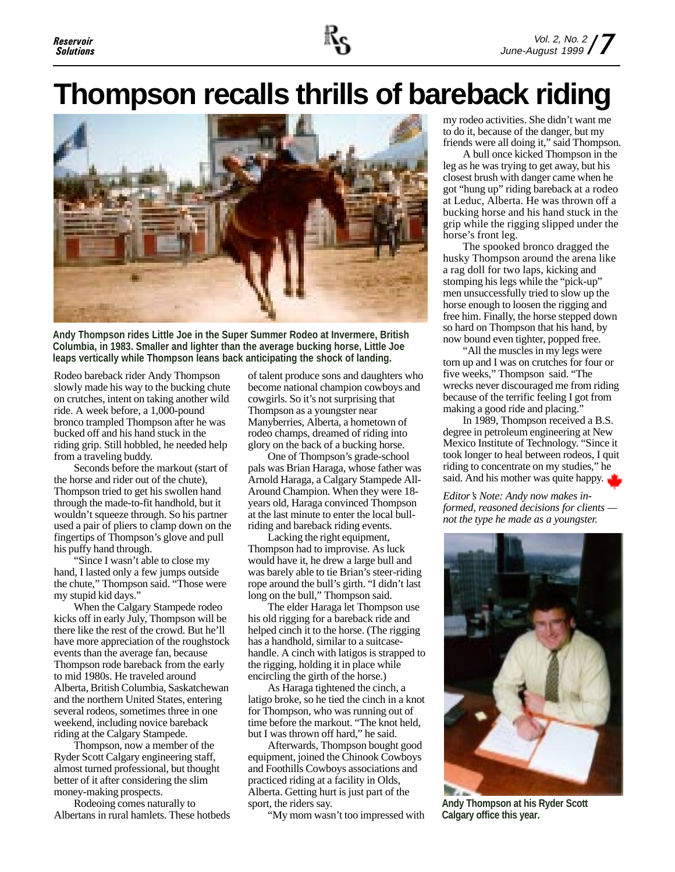

# **Thompson recalls thrills of bareback riding**



**Andy Thompson rides Little Joe in the Super Summer Rodeo at Invermere, British Columbia, in 1983. Smaller and lighter than the average bucking horse, Little Joe leaps vertically while Thompson leans back anticipating the shock of landing.**

Rodeo bareback rider Andy Thompson slowly made his way to the bucking chute on crutches, intent on taking another wild ride. A week before, a 1,000-pound bronco trampled Thompson after he was bucked off and his hand stuck in the riding grip. Still hobbled, he needed help from a traveling buddy.

Seconds before the markout (start of the horse and rider out of the chute), Thompson tried to get his swollen hand through the made-to-fit handhold, but it wouldn't squeeze through. So his partner used a pair of pliers to clamp down on the fingertips of Thompson's glove and pull his puffy hand through.

"Since I wasn't able to close my hand, I lasted only a few jumps outside the chute," Thompson said. "Those were my stupid kid days."

When the Calgary Stampede rodeo kicks off in early July, Thompson will be there like the rest of the crowd. But he'll have more appreciation of the roughstock events than the average fan, because Thompson rode bareback from the early to mid 1980s. He traveled around Alberta, British Columbia, Saskatchewan and the northern United States, entering several rodeos, sometimes three in one weekend, including novice bareback riding at the Calgary Stampede.

Thompson, now a member of the Ryder Scott Calgary engineering staff, almost turned professional, but thought better of it after considering the slim money-making prospects.

Rodeoing comes naturally to Albertans in rural hamlets. These hotbeds of talent produce sons and daughters who become national champion cowboys and cowgirls. So it's not surprising that Thompson as a youngster near Manyberries, Alberta, a hometown of rodeo champs, dreamed of riding into glory on the back of a bucking horse.

One of Thompson's grade-school pals was Brian Haraga, whose father was Arnold Haraga, a Calgary Stampede All-Around Champion. When they were 18 years old, Haraga convinced Thompson at the last minute to enter the local bullriding and bareback riding events.

Lacking the right equipment, Thompson had to improvise. As luck would have it, he drew a large bull and was barely able to tie Brian's steer-riding rope around the bull's girth. "I didn't last long on the bull," Thompson said.

The elder Haraga let Thompson use his old rigging for a bareback ride and helped cinch it to the horse. (The rigging has a handhold, similar to a suitcasehandle. A cinch with latigos is strapped to the rigging, holding it in place while encircling the girth of the horse.)

As Haraga tightened the cinch, a latigo broke, so he tied the cinch in a knot for Thompson, who was running out of time before the markout. "The knot held, but I was thrown off hard," he said.

Afterwards, Thompson bought good equipment, joined the Chinook Cowboys and Foothills Cowboys associations and practiced riding at a facility in Olds, Alberta. Getting hurt is just part of the sport, the riders say.

"My mom wasn't too impressed with

my rodeo activities. She didn't want me to do it, because of the danger, but my friends were all doing it," said Thompson.

A bull once kicked Thompson in the leg as he was trying to get away, but his closest brush with danger came when he got "hung up" riding bareback at a rodeo at Leduc, Alberta. He was thrown off a bucking horse and his hand stuck in the grip while the rigging slipped under the horse's front leg.

The spooked bronco dragged the husky Thompson around the arena like a rag doll for two laps, kicking and stomping his legs while the "pick-up" men unsuccessfully tried to slow up the horse enough to loosen the rigging and free him. Finally, the horse stepped down so hard on Thompson that his hand, by now bound even tighter, popped free.

"All the muscles in my legs were torn up and I was on crutches for four or five weeks," Thompson said. "The wrecks never discouraged me from riding because of the terrific feeling I got from making a good ride and placing."

In 1989, Thompson received a B.S. degree in petroleum engineering at New Mexico Institute of Technology. "Since it took longer to heal between rodeos, I quit riding to concentrate on my studies," he said. And his mother was quite happy.

*Editor's Note: Andy now makes informed, reasoned decisions for clients not the type he made as a youngster.*



**Andy Thompson at his Ryder Scott Calgary office this year.**